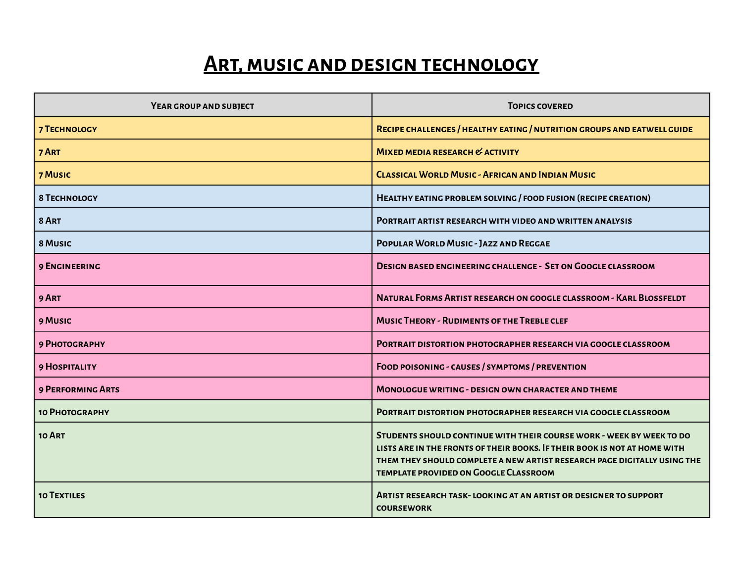## **ART, MUSIC AND DESIGN TECHNOLOGY**

| YEAR GROUP AND SUBJECT   | <b>TOPICS COVERED</b>                                                                                                                                                                                                                                                         |
|--------------------------|-------------------------------------------------------------------------------------------------------------------------------------------------------------------------------------------------------------------------------------------------------------------------------|
| <b>7 TECHNOLOGY</b>      | RECIPE CHALLENGES / HEALTHY EATING / NUTRITION GROUPS AND EATWELL GUIDE                                                                                                                                                                                                       |
| 7 ART                    | MIXED MEDIA RESEARCH & ACTIVITY                                                                                                                                                                                                                                               |
| 7 MUSIC                  | <b>CLASSICAL WORLD MUSIC - AFRICAN AND INDIAN MUSIC</b>                                                                                                                                                                                                                       |
| <b>8 TECHNOLOGY</b>      | HEALTHY EATING PROBLEM SOLVING / FOOD FUSION (RECIPE CREATION)                                                                                                                                                                                                                |
| 8 ART                    | PORTRAIT ARTIST RESEARCH WITH VIDEO AND WRITTEN ANALYSIS                                                                                                                                                                                                                      |
| 8 MUSIC                  | <b>POPULAR WORLD MUSIC - JAZZ AND REGGAE</b>                                                                                                                                                                                                                                  |
| <b>9 ENGINEERING</b>     | <b>DESIGN BASED ENGINEERING CHALLENGE - SET ON GOOGLE CLASSROOM</b>                                                                                                                                                                                                           |
| 9 ART                    | NATURAL FORMS ARTIST RESEARCH ON GOOGLE CLASSROOM - KARL BLOSSFELDT                                                                                                                                                                                                           |
| 9 MUSIC                  | <b>MUSIC THEORY - RUDIMENTS OF THE TREBLE CLEF</b>                                                                                                                                                                                                                            |
| 9 PHOTOGRAPHY            | PORTRAIT DISTORTION PHOTOGRAPHER RESEARCH VIA GOOGLE CLASSROOM                                                                                                                                                                                                                |
| <b>9 HOSPITALITY</b>     | FOOD POISONING - CAUSES / SYMPTOMS / PREVENTION                                                                                                                                                                                                                               |
| <b>9 PERFORMING ARTS</b> | <b>MONOLOGUE WRITING - DESIGN OWN CHARACTER AND THEME</b>                                                                                                                                                                                                                     |
| 10 РНОТОСВАРНУ           | <b>PORTRAIT DISTORTION PHOTOGRAPHER RESEARCH VIA GOOGLE CLASSROOM</b>                                                                                                                                                                                                         |
| 10 ART                   | STUDENTS SHOULD CONTINUE WITH THEIR COURSE WORK - WEEK BY WEEK TO DO<br>LISTS ARE IN THE FRONTS OF THEIR BOOKS. IF THEIR BOOK IS NOT AT HOME WITH<br>THEM THEY SHOULD COMPLETE A NEW ARTIST RESEARCH PAGE DIGITALLY USING THE<br><b>TEMPLATE PROVIDED ON GOOGLE CLASSROOM</b> |
| <b>10 TEXTILES</b>       | <b>ARTIST RESEARCH TASK-LOOKING AT AN ARTIST OR DESIGNER TO SUPPORT</b><br><b>COURSEWORK</b>                                                                                                                                                                                  |